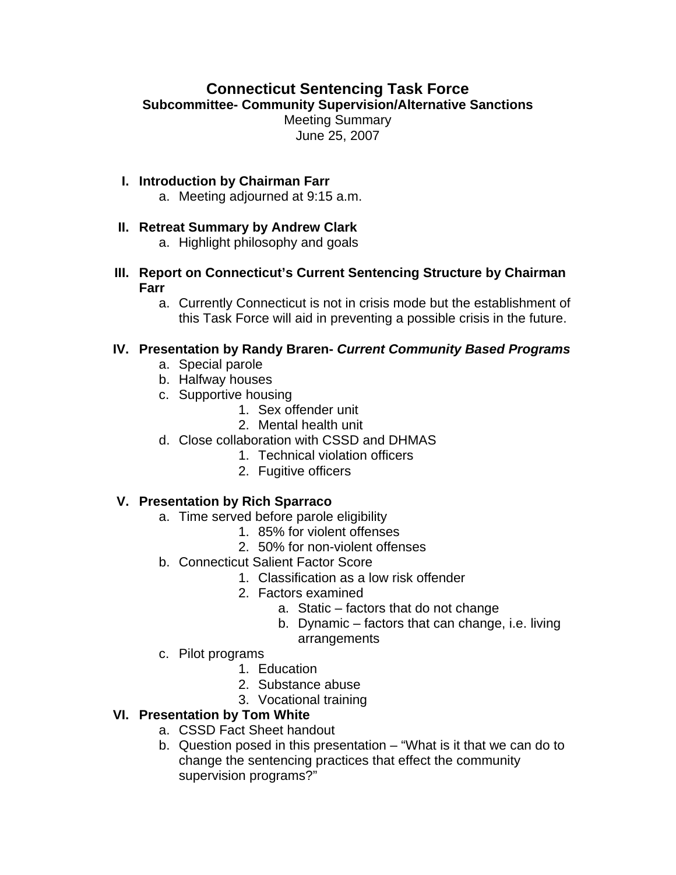# **Connecticut Sentencing Task Force**

**Subcommittee- Community Supervision/Alternative Sanctions** 

Meeting Summary June 25, 2007

#### **I. Introduction by Chairman Farr**

a. Meeting adjourned at 9:15 a.m.

### **II. Retreat Summary by Andrew Clark**

a. Highlight philosophy and goals

**III. Report on Connecticut's Current Sentencing Structure by Chairman Farr**

a. Currently Connecticut is not in crisis mode but the establishment of this Task Force will aid in preventing a possible crisis in the future.

### **IV. Presentation by Randy Braren-** *Current Community Based Programs*

- a. Special parole
- b. Halfway houses
- c. Supportive housing
	- 1. Sex offender unit
	- 2. Mental health unit
- d. Close collaboration with CSSD and DHMAS
	- 1. Technical violation officers
	- 2. Fugitive officers

# **V. Presentation by Rich Sparraco**

- a. Time served before parole eligibility
	- 1. 85% for violent offenses
	- 2. 50% for non-violent offenses
- b. Connecticut Salient Factor Score
	- 1. Classification as a low risk offender
	- 2. Factors examined
		- a. Static factors that do not change
		- b. Dynamic factors that can change, i.e. living arrangements
- c. Pilot programs
	- 1. Education
	- 2. Substance abuse
	- 3. Vocational training

# **VI. Presentation by Tom White**

- a. CSSD Fact Sheet handout
- b. Question posed in this presentation "What is it that we can do to change the sentencing practices that effect the community supervision programs?"